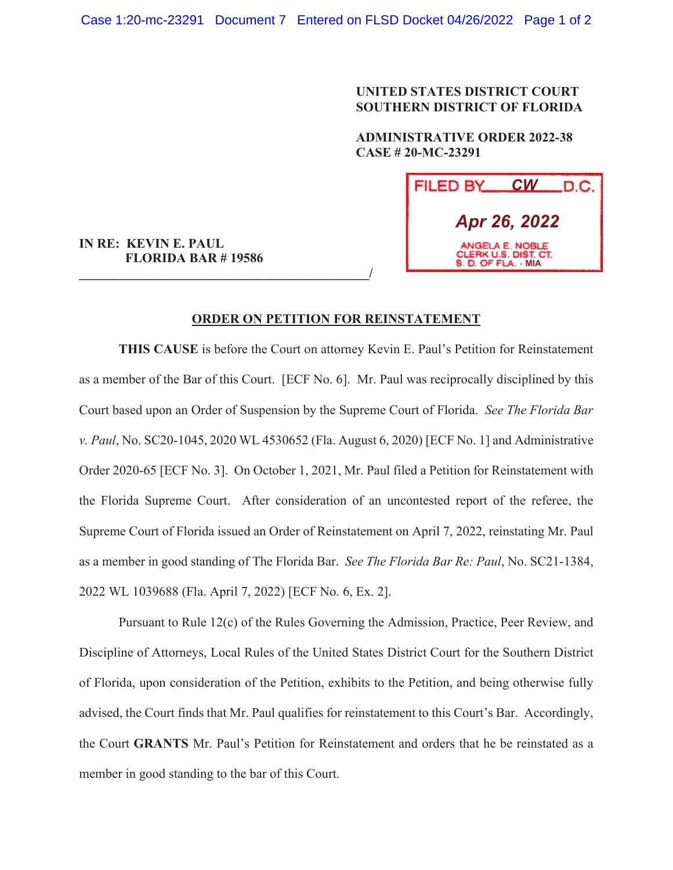## **UNITED STATES DISTRICT COURT SOUTHERN DISTRICT OF FLORIDA**

 **ADMINISTRATIVE ORDER 2022-38 CASE # 20-MC-23291** 



**IN RE: KEVIN E. PAUL FLORIDA BAR # 19586** 

**\_\_\_\_\_\_\_\_\_\_\_\_\_\_\_\_\_\_\_\_\_\_\_\_\_\_\_\_\_\_\_\_\_\_\_\_\_\_\_\_\_\_\_\_/**

## **ORDER ON PETITION FOR REINSTATEMENT**

**THIS CAUSE** is before the Court on attorney Kevin E. Paul's Petition for Reinstatement as a member of the Bar of this Court. [ECF No. 6]. Mr. Paul was reciprocally disciplined by this Court based upon an Order of Suspension by the Supreme Court of Florida. *See The Florida Bar v. Paul*, No. SC20-1045, 2020 WL 4530652 (Fla. August 6, 2020) [ECF No. 1] and Administrative Order 2020-65 [ECF No. 3]. On October 1, 2021, Mr. Paul filed a Petition for Reinstatement with the Florida Supreme Court. After consideration of an uncontested report of the referee, the Supreme Court of Florida issued an Order of Reinstatement on April 7, 2022, reinstating Mr. Paul as a member in good standing of The Florida Bar. *See The Florida Bar Re: Paul*, No. SC21-1384, 2022 WL 1039688 (Fla. April 7, 2022) [ECF No. 6, Ex. 2].

 Pursuant to Rule 12(c) of the Rules Governing the Admission, Practice, Peer Review, and Discipline of Attorneys, Local Rules of the United States District Court for the Southern District of Florida, upon consideration of the Petition, exhibits to the Petition, and being otherwise fully advised, the Court finds that Mr. Paul qualifies for reinstatement to this Court's Bar. Accordingly, the Court **GRANTS** Mr. Paul's Petition for Reinstatement and orders that he be reinstated as a member in good standing to the bar of this Court.